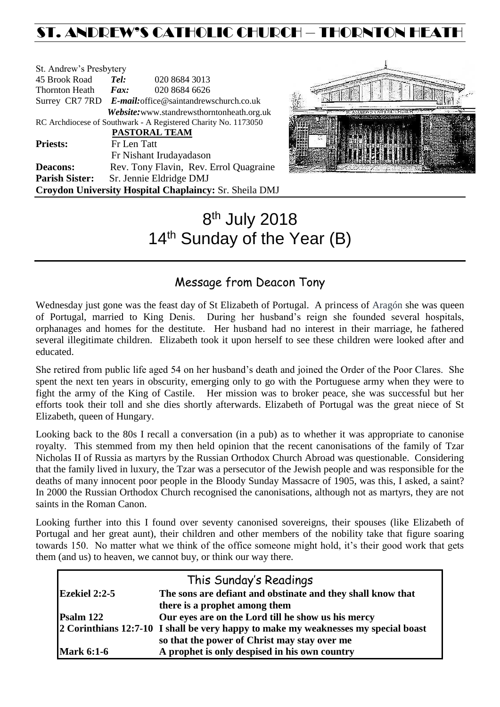# ST. ANDREW'S CATHOLIC CHURCH – THORNTON HEATH

| St. Andrew's Presbytery                                        |                                                        |                                            |  |  |
|----------------------------------------------------------------|--------------------------------------------------------|--------------------------------------------|--|--|
| 45 Brook Road                                                  | Tel:                                                   | 020 8684 3013                              |  |  |
| <b>Thornton Heath</b>                                          | $\boldsymbol{F}$ <i>ax</i> :                           | 020 8684 6626                              |  |  |
|                                                                | Surrey CR7 7RD E-mail: office@saintandrewschurch.co.uk |                                            |  |  |
|                                                                |                                                        | Website: www.standrewsthorntonheath.org.uk |  |  |
| RC Archdiocese of Southwark - A Registered Charity No. 1173050 |                                                        |                                            |  |  |
|                                                                | PASTORAL TEAM                                          |                                            |  |  |
| <b>Priests:</b>                                                | Fr Len Tatt                                            |                                            |  |  |
|                                                                |                                                        | Fr Nishant Irudayadason                    |  |  |
| <b>Deacons:</b>                                                |                                                        | Rev. Tony Flavin, Rev. Errol Quagraine     |  |  |
| <b>Parish Sister:</b>                                          |                                                        | Sr. Jennie Eldridge DMJ                    |  |  |
| Croydon University Hospital Chaplaincy: Sr. Sheila DMJ         |                                                        |                                            |  |  |



# 8<sup>th</sup> July 2018 14<sup>th</sup> Sunday of the Year (B)

# Message from Deacon Tony

Wednesday just gone was the feast day of St Elizabeth of Portugal. A princess of Aragón she was queen of Portugal, married to King Denis. During her husband's reign she founded several hospitals, orphanages and homes for the destitute. Her husband had no interest in their marriage, he fathered several illegitimate children. Elizabeth took it upon herself to see these children were looked after and educated.

She retired from public life aged 54 on her husband's death and joined the Order of the Poor Clares. She spent the next ten years in obscurity, emerging only to go with the Portuguese army when they were to fight the army of the King of Castile. Her mission was to broker peace, she was successful but her efforts took their toll and she dies shortly afterwards. Elizabeth of Portugal was the great niece of St Elizabeth, queen of Hungary.

Looking back to the 80s I recall a conversation (in a pub) as to whether it was appropriate to canonise royalty. This stemmed from my then held opinion that the recent canonisations of the family of Tzar Nicholas II of Russia as martyrs by the Russian Orthodox Church Abroad was questionable. Considering that the family lived in luxury, the Tzar was a persecutor of the Jewish people and was responsible for the deaths of many innocent poor people in the Bloody Sunday Massacre of 1905, was this, I asked, a saint? In 2000 the Russian Orthodox Church recognised the canonisations, although not as martyrs, they are not saints in the Roman Canon.

Looking further into this I found over seventy canonised sovereigns, their spouses (like Elizabeth of Portugal and her great aunt), their children and other members of the nobility take that figure soaring towards 150. No matter what we think of the office someone might hold, it's their good work that gets them (and us) to heaven, we cannot buy, or think our way there.

|                      | This Sunday's Readings                                                             |
|----------------------|------------------------------------------------------------------------------------|
| <b>Ezekiel 2:2-5</b> | The sons are defiant and obstinate and they shall know that                        |
|                      | there is a prophet among them                                                      |
| Psalm 122            | Our eyes are on the Lord till he show us his mercy                                 |
|                      | 2 Corinthians 12:7-10 I shall be very happy to make my weaknesses my special boast |
|                      | so that the power of Christ may stay over me                                       |
| <b>Mark 6:1-6</b>    | A prophet is only despised in his own country                                      |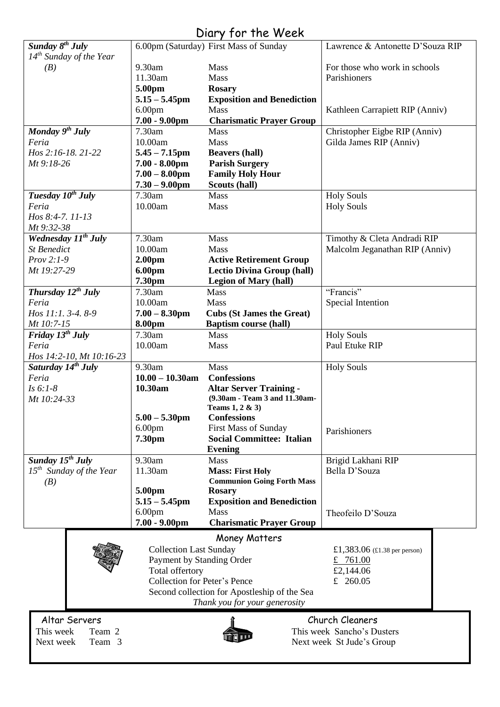# Diary for the Week

| Sunday $8^{th}$ July            |                                              | 6.00pm (Saturday) First Mass of Sunday | Lawrence & Antonette D'Souza RIP                          |  |  |
|---------------------------------|----------------------------------------------|----------------------------------------|-----------------------------------------------------------|--|--|
| $14^{th}$ Sunday of the Year    |                                              |                                        |                                                           |  |  |
| (B)                             | 9.30am                                       | Mass                                   | For those who work in schools                             |  |  |
|                                 | 11.30am                                      | <b>Mass</b>                            | Parishioners                                              |  |  |
|                                 | 5.00pm                                       | <b>Rosary</b>                          |                                                           |  |  |
|                                 | $5.15 - 5.45$ pm                             | <b>Exposition and Benediction</b>      |                                                           |  |  |
|                                 | 6.00 <sub>pm</sub>                           | Mass                                   | Kathleen Carrapiett RIP (Anniv)                           |  |  |
|                                 | $7.00 - 9.00$ pm                             | <b>Charismatic Prayer Group</b>        |                                                           |  |  |
| Monday 9 <sup>th</sup> July     | 7.30am                                       | Mass                                   | Christopher Eigbe RIP (Anniv)                             |  |  |
| Feria                           | 10.00am                                      | Mass                                   | Gilda James RIP (Anniv)                                   |  |  |
| Hos 2:16-18. 21-22              | $5.45 - 7.15$ pm                             | <b>Beavers (hall)</b>                  |                                                           |  |  |
| Mt 9:18-26                      | $7.00 - 8.00$ pm                             | <b>Parish Surgery</b>                  |                                                           |  |  |
|                                 | $7.00 - 8.00$ pm                             | <b>Family Holy Hour</b>                |                                                           |  |  |
|                                 | $7.30 - 9.00$ pm                             | Scouts (hall)                          |                                                           |  |  |
| Tuesday 10 <sup>th</sup> July   | 7.30am                                       | Mass                                   | <b>Holy Souls</b>                                         |  |  |
| Feria                           | 10.00am                                      | Mass                                   | <b>Holy Souls</b>                                         |  |  |
| Hos 8:4-7. 11-13                |                                              |                                        |                                                           |  |  |
|                                 |                                              |                                        |                                                           |  |  |
| Mt 9:32-38                      |                                              |                                        |                                                           |  |  |
| Wednesday 11 <sup>th</sup> July | 7.30am                                       | Mass                                   | Timothy & Cleta Andradi RIP                               |  |  |
| <b>St Benedict</b>              | 10.00am                                      | Mass                                   | Malcolm Jeganathan RIP (Anniv)                            |  |  |
| $Prov 2:1-9$                    | 2.00 <sub>pm</sub>                           | <b>Active Retirement Group</b>         |                                                           |  |  |
| Mt 19:27-29                     | 6.00pm                                       | <b>Lectio Divina Group (hall)</b>      |                                                           |  |  |
|                                 | 7.30pm                                       | <b>Legion of Mary (hall)</b>           |                                                           |  |  |
| Thursday $12^{th}$ July         | 7.30am                                       | <b>Mass</b>                            | "Francis"                                                 |  |  |
| Feria                           | 10.00am                                      | <b>Mass</b>                            | Special Intention                                         |  |  |
| Hos 11:1.3-4.8-9                | $7.00 - 8.30$ pm                             | <b>Cubs (St James the Great)</b>       |                                                           |  |  |
| Mt 10:7-15                      | 8.00pm                                       | <b>Baptism course (hall)</b>           |                                                           |  |  |
| Friday $13^{th}$ July           | 7.30am                                       | Mass                                   | <b>Holy Souls</b>                                         |  |  |
| Feria                           | 10.00am                                      | Mass                                   | Paul Etuke RIP                                            |  |  |
| Hos 14:2-10, Mt 10:16-23        |                                              |                                        |                                                           |  |  |
| Saturday 14 <sup>th</sup> July  | 9.30am                                       | <b>Mass</b>                            | <b>Holy Souls</b>                                         |  |  |
| Feria                           | $10.00 - 10.30$ am                           | <b>Confessions</b>                     |                                                           |  |  |
| $Is 6:1-8$                      | 10.30am                                      | <b>Altar Server Training -</b>         |                                                           |  |  |
| Mt 10:24-33                     |                                              | (9.30am - Team 3 and 11.30am-          |                                                           |  |  |
|                                 |                                              | Teams $1, 2 \& 3$                      |                                                           |  |  |
|                                 | $5.00 - 5.30$ pm                             | <b>Confessions</b>                     |                                                           |  |  |
|                                 | 6.00 <sub>pm</sub>                           | <b>First Mass of Sunday</b>            |                                                           |  |  |
|                                 | 7.30pm                                       | <b>Social Committee: Italian</b>       | Parishioners                                              |  |  |
|                                 |                                              | <b>Evening</b>                         |                                                           |  |  |
| Sunday $15^{th}$ July           | 9.30am                                       | Mass                                   | Brigid Lakhani RIP                                        |  |  |
| $15th$ Sunday of the Year       | 11.30am                                      | <b>Mass: First Holy</b>                | Bella D'Souza                                             |  |  |
|                                 |                                              | <b>Communion Going Forth Mass</b>      |                                                           |  |  |
| (B)                             | 5.00pm                                       | <b>Rosary</b>                          |                                                           |  |  |
|                                 | $5.15 - 5.45$ pm                             | <b>Exposition and Benediction</b>      |                                                           |  |  |
|                                 | 6.00 <sub>pm</sub>                           | Mass                                   |                                                           |  |  |
|                                 | $7.00 - 9.00$ pm                             | <b>Charismatic Prayer Group</b>        | Theofeilo D'Souza                                         |  |  |
|                                 |                                              |                                        |                                                           |  |  |
|                                 |                                              | Money Matters                          |                                                           |  |  |
|                                 | <b>Collection Last Sunday</b>                |                                        | £1,383.06 $(\text{\textsterling}1.38 \text{ per person})$ |  |  |
|                                 | Payment by Standing Order                    |                                        | £ 761.00                                                  |  |  |
|                                 | Total offertory                              |                                        | £2,144.06                                                 |  |  |
|                                 | Collection for Peter's Pence                 |                                        | £ 260.05                                                  |  |  |
|                                 | Second collection for Apostleship of the Sea |                                        |                                                           |  |  |
| Thank you for your generosity   |                                              |                                        |                                                           |  |  |
|                                 |                                              |                                        |                                                           |  |  |
| Altar Servers                   |                                              |                                        | Church Cleaners                                           |  |  |
| This week<br>Team 2             |                                              |                                        | This week Sancho's Dusters                                |  |  |
| Team 3<br>Next week             | Next week St Jude's Group                    |                                        |                                                           |  |  |
|                                 |                                              |                                        |                                                           |  |  |
|                                 |                                              |                                        |                                                           |  |  |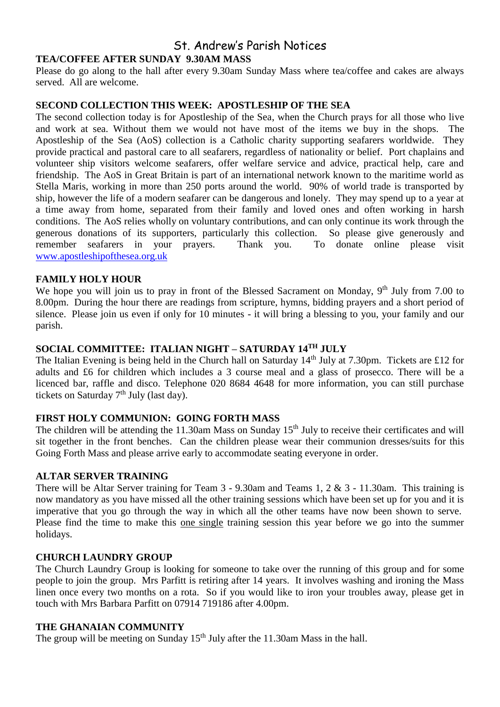# St. Andrew's Parish Notices **TEA/COFFEE AFTER SUNDAY 9.30AM MASS**

Please do go along to the hall after every 9.30am Sunday Mass where tea/coffee and cakes are always served. All are welcome.

#### **SECOND COLLECTION THIS WEEK: APOSTLESHIP OF THE SEA**

The second collection today is for Apostleship of the Sea, when the Church prays for all those who live and work at sea. Without them we would not have most of the items we buy in the shops. The Apostleship of the Sea (AoS) collection is a Catholic charity supporting seafarers worldwide. They provide practical and pastoral care to all seafarers, regardless of nationality or belief. Port chaplains and volunteer ship visitors welcome seafarers, offer welfare service and advice, practical help, care and friendship. The AoS in Great Britain is part of an international network known to the maritime world as Stella Maris, working in more than 250 ports around the world. 90% of world trade is transported by ship, however the life of a modern seafarer can be dangerous and lonely. They may spend up to a year at a time away from home, separated from their family and loved ones and often working in harsh conditions. The AoS relies wholly on voluntary contributions, and can only continue its work through the generous donations of its supporters, particularly this collection. So please give generously and remember seafarers in your prayers. Thank you. To donate online please visit remember seafarers in your prayers. Thank you. [www.apostleshipofthesea.org.uk](http://www.apostleshipofthesea.org.uk/)

# **FAMILY HOLY HOUR**

We hope you will join us to pray in front of the Blessed Sacrament on Monday, 9<sup>th</sup> July from 7.00 to 8.00pm. During the hour there are readings from scripture, hymns, bidding prayers and a short period of silence. Please join us even if only for 10 minutes - it will bring a blessing to you, your family and our parish.

# **SOCIAL COMMITTEE: ITALIAN NIGHT – SATURDAY 14TH JULY**

The Italian Evening is being held in the Church hall on Saturday 14<sup>th</sup> July at 7.30pm. Tickets are £12 for adults and £6 for children which includes a 3 course meal and a glass of prosecco. There will be a licenced bar, raffle and disco. Telephone 020 8684 4648 for more information, you can still purchase tickets on Saturday  $7<sup>th</sup>$  July (last day).

# **FIRST HOLY COMMUNION: GOING FORTH MASS**

The children will be attending the 11.30am Mass on Sunday 15<sup>th</sup> July to receive their certificates and will sit together in the front benches. Can the children please wear their communion dresses/suits for this Going Forth Mass and please arrive early to accommodate seating everyone in order.

#### **ALTAR SERVER TRAINING**

There will be Altar Server training for Team 3 - 9.30am and Teams 1, 2 & 3 - 11.30am. This training is now mandatory as you have missed all the other training sessions which have been set up for you and it is imperative that you go through the way in which all the other teams have now been shown to serve. Please find the time to make this one single training session this year before we go into the summer holidays.

#### **CHURCH LAUNDRY GROUP**

The Church Laundry Group is looking for someone to take over the running of this group and for some people to join the group. Mrs Parfitt is retiring after 14 years. It involves washing and ironing the Mass linen once every two months on a rota. So if you would like to iron your troubles away, please get in touch with Mrs Barbara Parfitt on 07914 719186 after 4.00pm.

#### **THE GHANAIAN COMMUNITY**

The group will be meeting on Sunday  $15<sup>th</sup>$  July after the 11.30am Mass in the hall.